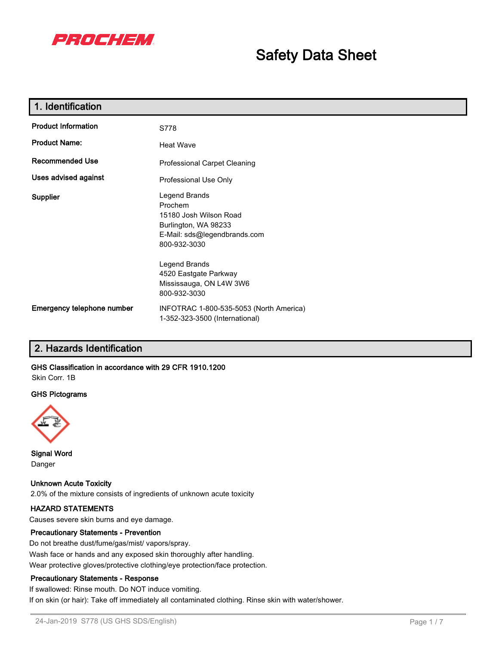

# **Safety Data Sheet**

| 1. Identification          |                                                                                                                            |
|----------------------------|----------------------------------------------------------------------------------------------------------------------------|
| <b>Product Information</b> | S778                                                                                                                       |
| <b>Product Name:</b>       | <b>Heat Wave</b>                                                                                                           |
| <b>Recommended Use</b>     | Professional Carpet Cleaning                                                                                               |
| Uses advised against       | Professional Use Only                                                                                                      |
| Supplier                   | Legend Brands<br>Prochem<br>15180 Josh Wilson Road<br>Burlington, WA 98233<br>E-Mail: sds@legendbrands.com<br>800-932-3030 |
|                            | Legend Brands<br>4520 Eastgate Parkway<br>Mississauga, ON L4W 3W6<br>800-932-3030                                          |
| Emergency telephone number | INFOTRAC 1-800-535-5053 (North America)<br>1-352-323-3500 (International)                                                  |

# **2. Hazards Identification**

#### **GHS Classification in accordance with 29 CFR 1910.1200** Skin Corr. 1B

#### **GHS Pictograms**



**Signal Word** Danger

**Unknown Acute Toxicity** 2.0% of the mixture consists of ingredients of unknown acute toxicity

#### **HAZARD STATEMENTS**

Causes severe skin burns and eye damage.

#### **Precautionary Statements - Prevention**

Do not breathe dust/fume/gas/mist/ vapors/spray. Wash face or hands and any exposed skin thoroughly after handling. Wear protective gloves/protective clothing/eye protection/face protection.

#### **Precautionary Statements - Response**

If swallowed: Rinse mouth. Do NOT induce vomiting. If on skin (or hair): Take off immediately all contaminated clothing. Rinse skin with water/shower.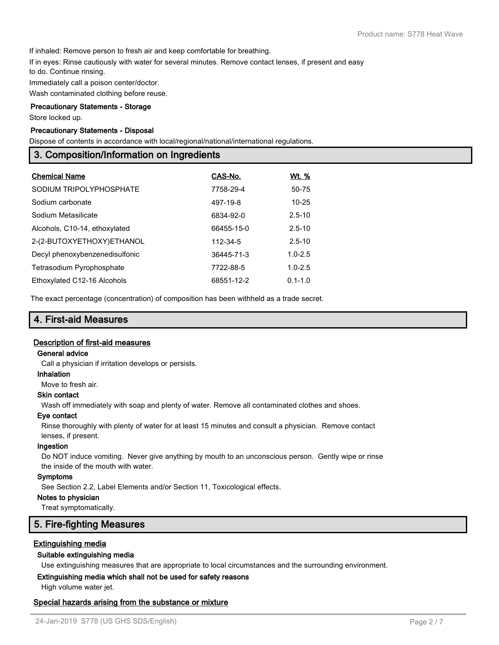If inhaled: Remove person to fresh air and keep comfortable for breathing.

If in eyes: Rinse cautiously with water for several minutes. Remove contact lenses, if present and easy

to do. Continue rinsing.

Immediately call a poison center/doctor.

Wash contaminated clothing before reuse.

#### **Precautionary Statements - Storage**

Store locked up.

### **Precautionary Statements - Disposal**

Dispose of contents in accordance with local/regional/national/international regulations.

### **3. Composition/Information on Ingredients**

| <b>Chemical Name</b>           | CAS-No.    | Wt. %       |
|--------------------------------|------------|-------------|
| SODIUM TRIPOLYPHOSPHATE        | 7758-29-4  | 50-75       |
| Sodium carbonate               | 497-19-8   | $10 - 25$   |
| Sodium Metasilicate            | 6834-92-0  | $2.5 - 10$  |
| Alcohols, C10-14, ethoxylated  | 66455-15-0 | $2.5 - 10$  |
| 2-(2-BUTOXYETHOXY)ETHANOL      | 112-34-5   | $2.5 - 10$  |
| Decyl phenoxybenzenedisulfonic | 36445-71-3 | $1.0 - 2.5$ |
| Tetrasodium Pyrophosphate      | 7722-88-5  | $1.0 - 2.5$ |
| Ethoxylated C12-16 Alcohols    | 68551-12-2 | $0.1 - 1.0$ |

The exact percentage (concentration) of composition has been withheld as a trade secret.

### **4. First-aid Measures**

#### **Description of first-aid measures**

#### **General advice**

Call a physician if irritation develops or persists.

**Inhalation**

Move to fresh air.

### **Skin contact**

Wash off immediately with soap and plenty of water. Remove all contaminated clothes and shoes.

#### **Eye contact**

Rinse thoroughly with plenty of water for at least 15 minutes and consult a physician. Remove contact lenses, if present.

#### **Ingestion**

Do NOT induce vomiting. Never give anything by mouth to an unconscious person. Gently wipe or rinse the inside of the mouth with water.

#### **Symptoms**

See Section 2.2, Label Elements and/or Section 11, Toxicological effects.

#### **Notes to physician**

Treat symptomatically.

#### **5. Fire-fighting Measures**

#### **Extinguishing media**

#### **Suitable extinguishing media**

Use extinguishing measures that are appropriate to local circumstances and the surrounding environment.

#### **Extinguishing media which shall not be used for safety reasons**

High volume water jet.

#### **Special hazards arising from the substance or mixture**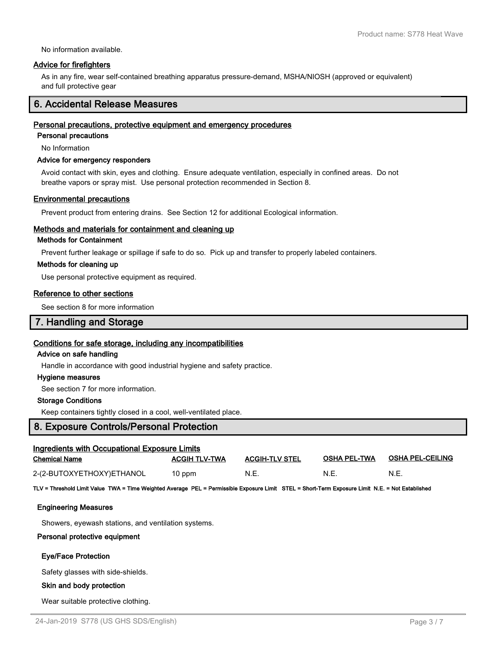No information available.

#### **Advice for firefighters**

As in any fire, wear self-contained breathing apparatus pressure-demand, MSHA/NIOSH (approved or equivalent) and full protective gear

### **6. Accidental Release Measures**

#### **Personal precautions, protective equipment and emergency procedures**

**Personal precautions**

No Information

#### **Advice for emergency responders**

Avoid contact with skin, eyes and clothing. Ensure adequate ventilation, especially in confined areas. Do not breathe vapors or spray mist. Use personal protection recommended in Section 8.

#### **Environmental precautions**

Prevent product from entering drains. See Section 12 for additional Ecological information.

#### **Methods and materials for containment and cleaning up**

#### **Methods for Containment**

Prevent further leakage or spillage if safe to do so. Pick up and transfer to properly labeled containers.

#### **Methods for cleaning up**

Use personal protective equipment as required.

#### **Reference to other sections**

See section 8 for more information

### **7. Handling and Storage**

#### **Conditions for safe storage, including any incompatibilities**

#### **Advice on safe handling**

Handle in accordance with good industrial hygiene and safety practice.

#### **Hygiene measures**

See section 7 for more information.

#### **Storage Conditions**

Keep containers tightly closed in a cool, well-ventilated place.

### **8. Exposure Controls/Personal Protection**

| Ingredients with Occupational Exposure Limits                                                                                                    |                      |                       |                     |                         |  |
|--------------------------------------------------------------------------------------------------------------------------------------------------|----------------------|-----------------------|---------------------|-------------------------|--|
| <b>Chemical Name</b>                                                                                                                             | <b>ACGIH TLV-TWA</b> | <b>ACGIH-TLV STEL</b> | <b>OSHA PEL-TWA</b> | <b>OSHA PEL-CEILING</b> |  |
| 2-(2-BUTOXYETHOXY)ETHANOL                                                                                                                        | 10 ppm               | N.E.                  | N.E.                | N.E.                    |  |
| TLV = Threshold Limit Value TWA = Time Weighted Average PEL = Permissible Exposure Limit STEL = Short-Term Exposure Limit N.E. = Not Established |                      |                       |                     |                         |  |
| <b>Engineering Measures</b>                                                                                                                      |                      |                       |                     |                         |  |
| Showers, eyewash stations, and ventilation systems.                                                                                              |                      |                       |                     |                         |  |
| Personal protective equipment                                                                                                                    |                      |                       |                     |                         |  |
| <b>Eye/Face Protection</b>                                                                                                                       |                      |                       |                     |                         |  |
| Safety glasses with side-shields.                                                                                                                |                      |                       |                     |                         |  |
| Skin and body protection                                                                                                                         |                      |                       |                     |                         |  |
| Wear suitable protective clothing.                                                                                                               |                      |                       |                     |                         |  |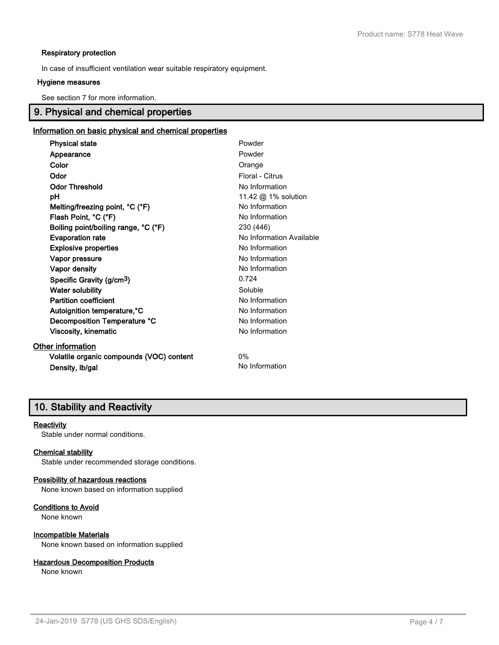#### **Respiratory protection**

In case of insufficient ventilation wear suitable respiratory equipment.

#### **Hygiene measures**

See section 7 for more information.

# **9. Physical and chemical properties**

### **Information on basic physical and chemical properties**

| <b>Physical state</b>                    | Powder                   |
|------------------------------------------|--------------------------|
| Appearance                               | Powder                   |
| Color                                    | Orange                   |
| Odor                                     | Floral - Citrus          |
| <b>Odor Threshold</b>                    | No Information           |
| рH                                       | 11.42 @ 1% solution      |
| Melting/freezing point, °C (°F)          | No Information           |
| Flash Point, °C (°F)                     | No Information           |
| Boiling point/boiling range, °C (°F)     | 230 (446)                |
| <b>Evaporation rate</b>                  | No Information Available |
| <b>Explosive properties</b>              | No Information           |
| Vapor pressure                           | No Information           |
| Vapor density                            | No Information           |
| Specific Gravity (g/cm <sup>3</sup> )    | 0.724                    |
| <b>Water solubility</b>                  | Soluble                  |
| <b>Partition coefficient</b>             | No Information           |
| Autoignition temperature, °C             | No Information           |
| Decomposition Temperature °C             | No Information           |
| Viscosity, kinematic                     | No Information           |
| <b>Other information</b>                 |                          |
| Volatile organic compounds (VOC) content | 0%                       |
| Density, Ib/gal                          | No Information           |

### **10. Stability and Reactivity**

#### **Reactivity**

Stable under normal conditions.

#### **Chemical stability**

Stable under recommended storage conditions.

#### **Possibility of hazardous reactions**

None known based on information supplied

**Conditions to Avoid**

None known

#### **Incompatible Materials**

None known based on information supplied

#### **Hazardous Decomposition Products**

None known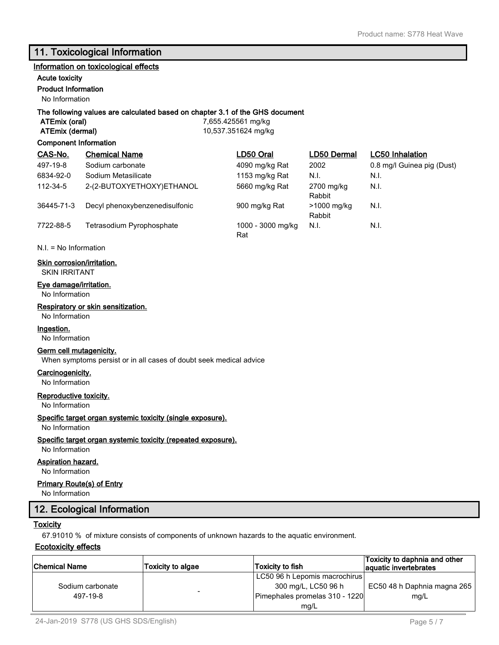### **11. Toxicological Information**

#### **Information on toxicological effects**

### **Acute toxicity**

### **Product Information**

No Information

#### **The following values are calculated based on chapter 3.1 of the GHS document**

**ATEmix (oral)** 7,655.425561 mg/kg **ATEmix (dermal)** 10,537.351624 mg/kg

#### **Component Information**

| CAS-No.    | <b>Chemical Name</b>           | LD50 Oral                | LD50 Dermal           | <b>LC50</b> Inhalation     |
|------------|--------------------------------|--------------------------|-----------------------|----------------------------|
| 497-19-8   | Sodium carbonate               | 4090 mg/kg Rat           | 2002                  | 0.8 mg/l Guinea pig (Dust) |
| 6834-92-0  | Sodium Metasilicate            | 1153 mg/kg Rat           | N.I.                  | N.I.                       |
| 112-34-5   | 2-(2-BUTOXYETHOXY)ETHANOL      | 5660 mg/kg Rat           | 2700 mg/kg<br>Rabbit  | N.I.                       |
| 36445-71-3 | Decyl phenoxybenzenedisulfonic | 900 mg/kg Rat            | >1000 mg/kg<br>Rabbit | N.I.                       |
| 7722-88-5  | Tetrasodium Pyrophosphate      | 1000 - 3000 mg/kg<br>Rat | N.I.                  | N.I.                       |

N.I. = No Information

#### **Skin corrosion/irritation.**

SKIN IRRITANT

#### **Eye damage/irritation.**

No Information

#### **Respiratory or skin sensitization.**

No Information

#### **Ingestion.**

No Information

#### **Germ cell mutagenicity.**

When symptoms persist or in all cases of doubt seek medical advice

**Carcinogenicity.**

No Information

#### **Reproductive toxicity.**

No Information

#### **Specific target organ systemic toxicity (single exposure).**

#### No Information

#### **Specific target organ systemic toxicity (repeated exposure).**

No Information

### **Aspiration hazard.**

No Information

#### **Primary Route(s) of Entry**

No Information

### **12. Ecological Information**

#### **Toxicity**

67.91010 % of mixture consists of components of unknown hazards to the aquatic environment.

#### **Ecotoxicity effects**

| <b>Chemical Name</b> | <b>Toxicity to algae</b> | Toxicity to fish               | Toxicity to daphnia and other<br>aquatic invertebrates |
|----------------------|--------------------------|--------------------------------|--------------------------------------------------------|
|                      |                          | LC50 96 h Lepomis macrochirus  |                                                        |
| Sodium carbonate     |                          | 300 mg/L, LC50 96 h            | EC50 48 h Daphnia magna 265                            |
| 497-19-8             |                          | Pimephales promelas 310 - 1220 | mg/L                                                   |
|                      |                          | mg/L                           |                                                        |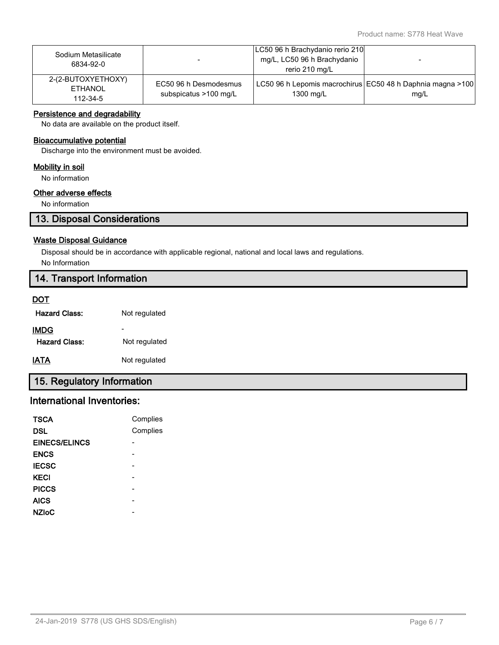| Sodium Metasilicate<br>6834-92-0                 |                                                | LC50 96 h Brachydanio rerio 210<br>mg/L, LC50 96 h Brachydanio<br>rerio 210 mg/L | $\overline{\phantom{0}}$ |
|--------------------------------------------------|------------------------------------------------|----------------------------------------------------------------------------------|--------------------------|
| 2-(2-BUTOXYETHOXY)<br><b>ETHANOL</b><br>112-34-5 | EC50 96 h Desmodesmus<br>subspicatus >100 mg/L | LC50 96 h Lepomis macrochirus EC50 48 h Daphnia magna >100<br>1300 mg/L          | mq/L                     |

#### **Persistence and degradability**

No data are available on the product itself.

#### **Bioaccumulative potential**

Discharge into the environment must be avoided.

#### **Mobility in soil**

No information

### **Other adverse effects**

No information

# **13. Disposal Considerations**

#### **Waste Disposal Guidance**

Disposal should be in accordance with applicable regional, national and local laws and regulations. No Information

### **14. Transport Information**

#### **DOT**

| <b>Hazard Class:</b> | Not regulated |
|----------------------|---------------|
|                      |               |

| <b>IMDG</b>          |               |
|----------------------|---------------|
| <b>Hazard Class:</b> | Not regulated |
|                      |               |

**IATA** Not regulated

# **15. Regulatory Information**

# **International Inventories:**

| <b>TSCA</b>          | Complies |
|----------------------|----------|
| DSL                  | Complies |
| <b>EINECS/ELINCS</b> |          |
| <b>ENCS</b>          |          |
| <b>IECSC</b>         |          |
| <b>KECI</b>          |          |
| <b>PICCS</b>         |          |
| <b>AICS</b>          |          |
| <b>NZIoC</b>         |          |